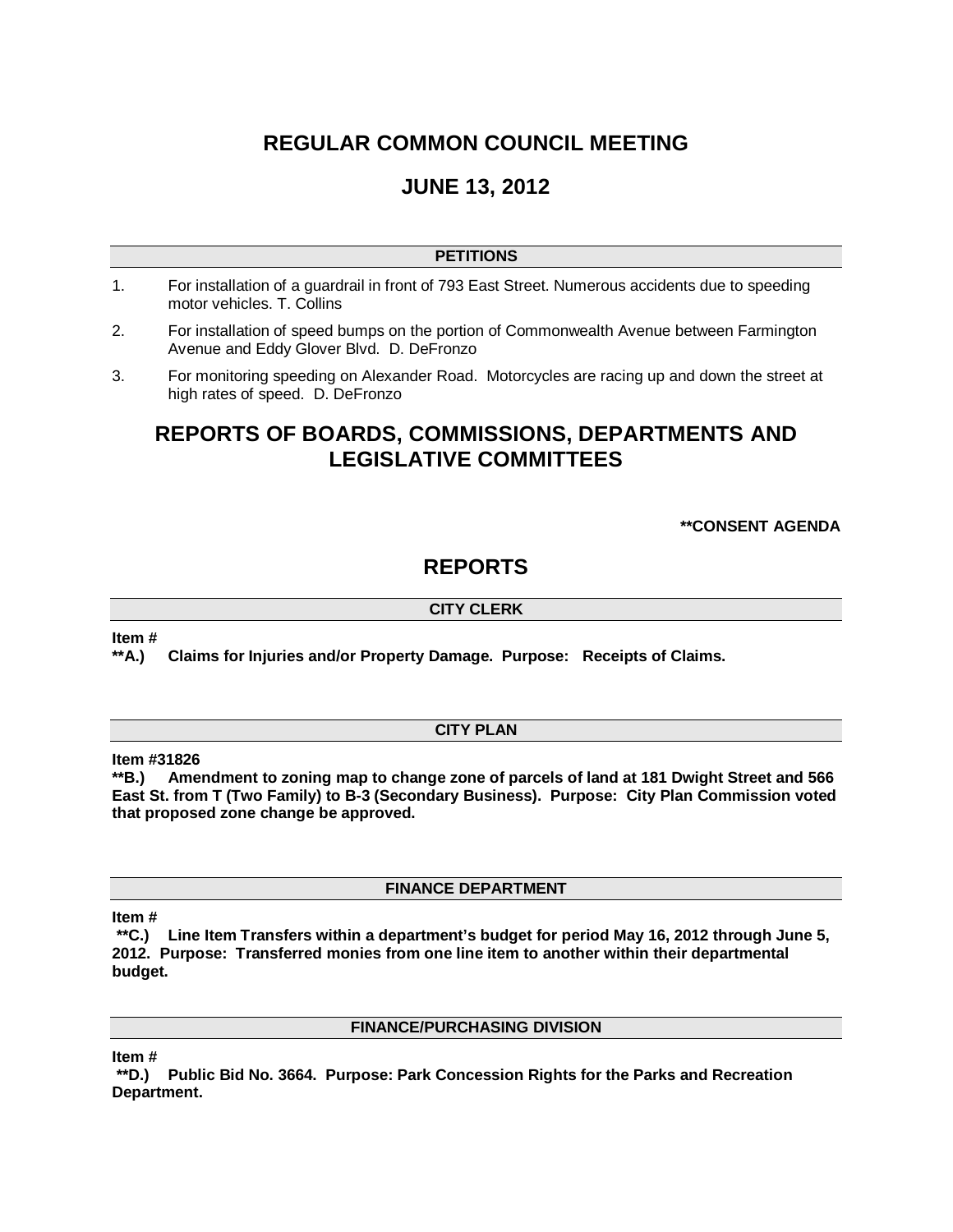# **REGULAR COMMON COUNCIL MEETING**

# **JUNE 13, 2012**

# **PETITIONS**

- 1. For installation of a guardrail in front of 793 East Street. Numerous accidents due to speeding motor vehicles. T. Collins
- 2. For installation of speed bumps on the portion of Commonwealth Avenue between Farmington Avenue and Eddy Glover Blvd. D. DeFronzo
- 3. For monitoring speeding on Alexander Road. Motorcycles are racing up and down the street at high rates of speed. D. DeFronzo

# **REPORTS OF BOARDS, COMMISSIONS, DEPARTMENTS AND LEGISLATIVE COMMITTEES**

## **\*\*CONSENT AGENDA**

# **REPORTS**

# **CITY CLERK**

**Item #**

**\*\*A.) Claims for Injuries and/or Property Damage. Purpose: Receipts of Claims.**

## **CITY PLAN**

**Item #31826**

**\*\*B.) Amendment to zoning map to change zone of parcels of land at 181 Dwight Street and 566 East St. from T (Two Family) to B-3 (Secondary Business). Purpose: City Plan Commission voted that proposed zone change be approved.** 

**FINANCE DEPARTMENT**

**Item #**

**\*\*C.) Line Item Transfers within a department's budget for period May 16, 2012 through June 5, 2012. Purpose: Transferred monies from one line item to another within their departmental budget.**

## **FINANCE/PURCHASING DIVISION**

**Item #**

**\*\*D.) Public Bid No. 3664. Purpose: Park Concession Rights for the Parks and Recreation Department.**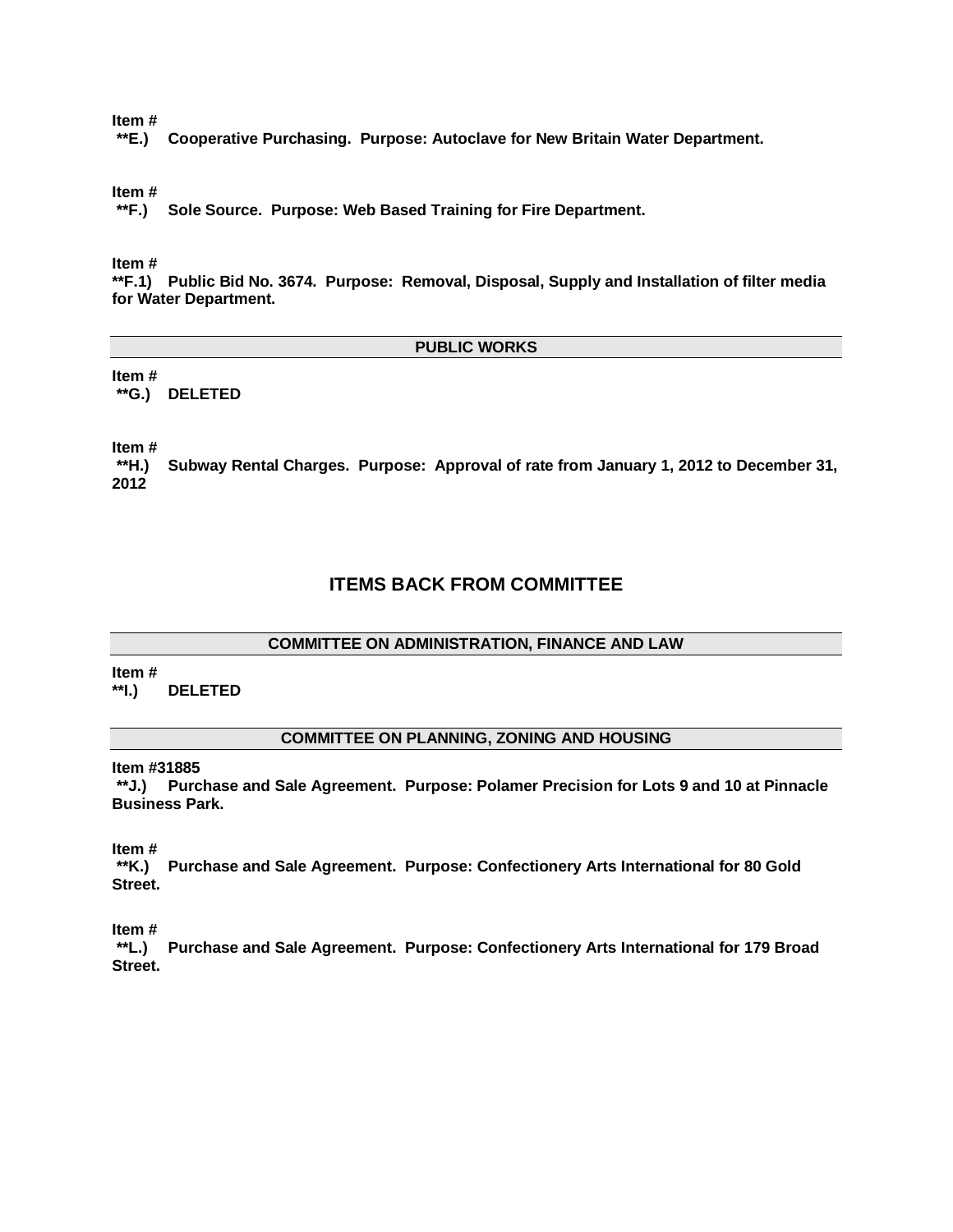**Item #**

**\*\*E.) Cooperative Purchasing. Purpose: Autoclave for New Britain Water Department.**

**Item #**

**\*\*F.) Sole Source. Purpose: Web Based Training for Fire Department.**

**Item #**

**\*\*F.1) Public Bid No. 3674. Purpose: Removal, Disposal, Supply and Installation of filter media for Water Department.**

### **PUBLIC WORKS**

**Item # \*\*G.) DELETED**

**Item #**

**\*\*H.) Subway Rental Charges. Purpose: Approval of rate from January 1, 2012 to December 31, 2012**

# **ITEMS BACK FROM COMMITTEE**

## **COMMITTEE ON ADMINISTRATION, FINANCE AND LAW**

**Item #**

**\*\*I.) DELETED**

### **COMMITTEE ON PLANNING, ZONING AND HOUSING**

**Item #31885**

**\*\*J.) Purchase and Sale Agreement. Purpose: Polamer Precision for Lots 9 and 10 at Pinnacle Business Park.** 

**Item #**

**\*\*K.) Purchase and Sale Agreement. Purpose: Confectionery Arts International for 80 Gold Street.**

**Item #**

**\*\*L.) Purchase and Sale Agreement. Purpose: Confectionery Arts International for 179 Broad Street.**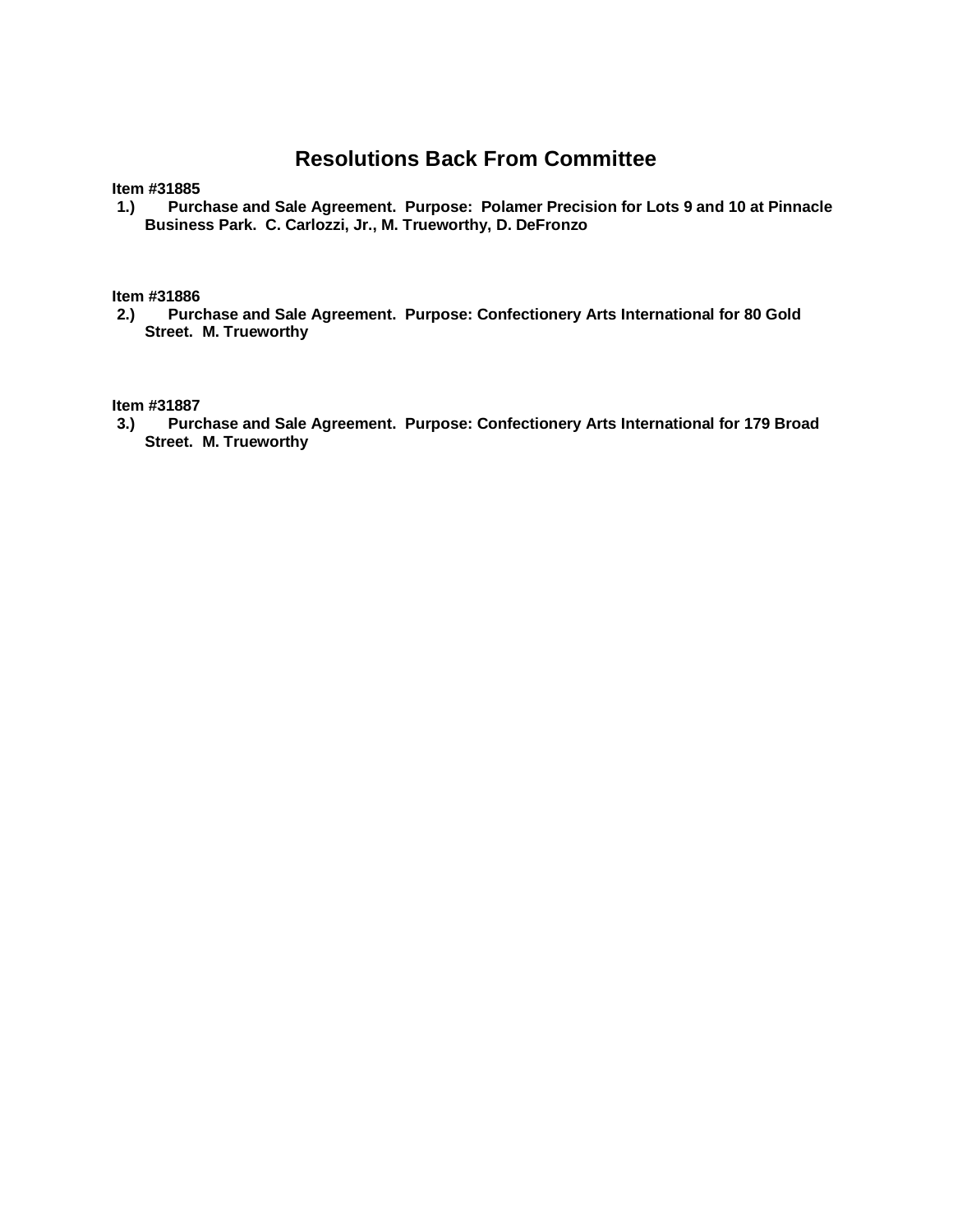# **Resolutions Back From Committee**

**Item #31885**

**1.) Purchase and Sale Agreement. Purpose: Polamer Precision for Lots 9 and 10 at Pinnacle Business Park. C. Carlozzi, Jr., M. Trueworthy, D. DeFronzo**

**Item #31886**

**2.) Purchase and Sale Agreement. Purpose: Confectionery Arts International for 80 Gold Street. M. Trueworthy**

**Item #31887**

**3.) Purchase and Sale Agreement. Purpose: Confectionery Arts International for 179 Broad Street. M. Trueworthy**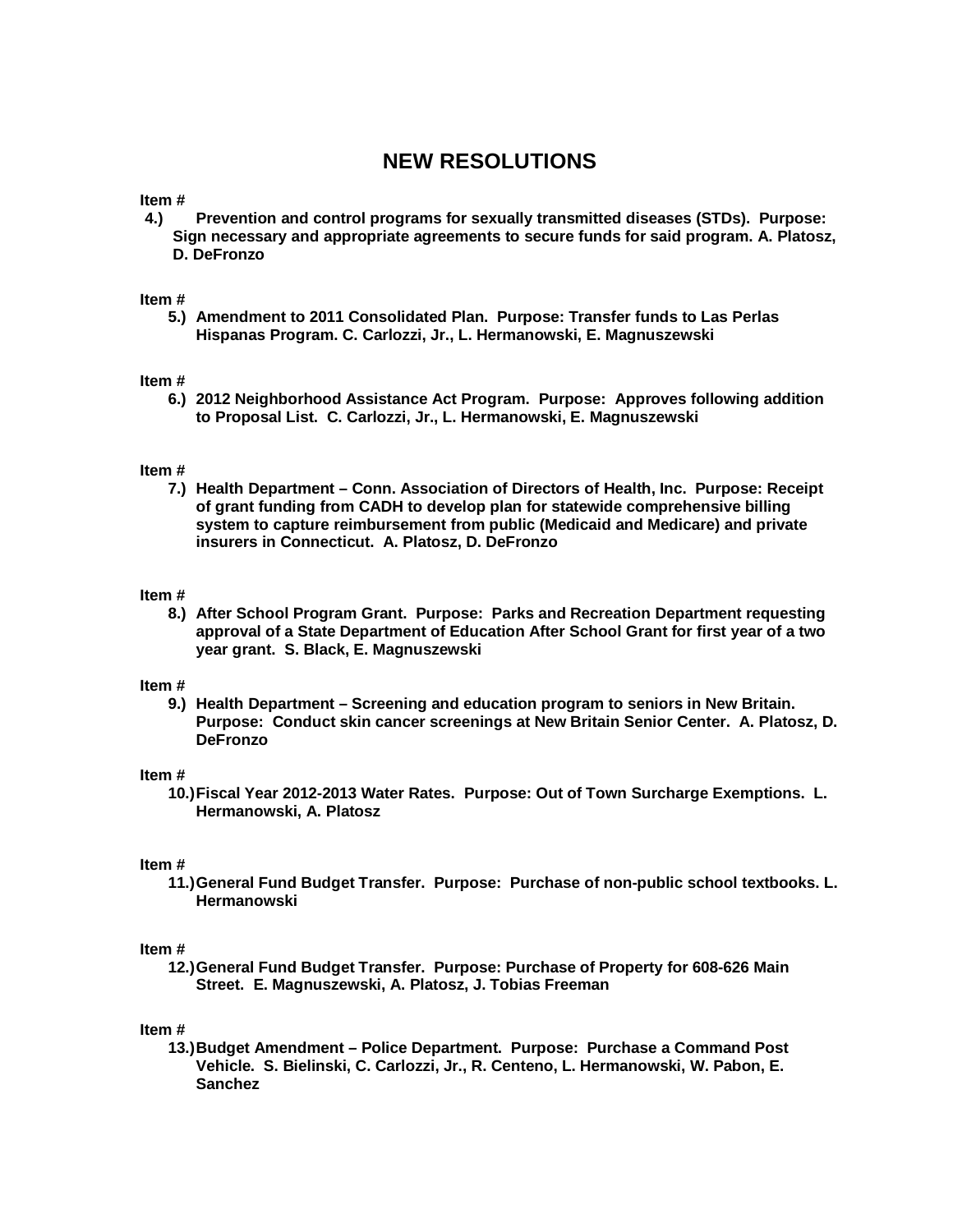# **NEW RESOLUTIONS**

**Item #**

**4.) Prevention and control programs for sexually transmitted diseases (STDs). Purpose: Sign necessary and appropriate agreements to secure funds for said program. A. Platosz, D. DeFronzo**

### **Item #**

**5.) Amendment to 2011 Consolidated Plan. Purpose: Transfer funds to Las Perlas Hispanas Program. C. Carlozzi, Jr., L. Hermanowski, E. Magnuszewski** 

### **Item #**

**6.) 2012 Neighborhood Assistance Act Program. Purpose: Approves following addition to Proposal List. C. Carlozzi, Jr., L. Hermanowski, E. Magnuszewski**

### **Item #**

**7.) Health Department – Conn. Association of Directors of Health, Inc. Purpose: Receipt of grant funding from CADH to develop plan for statewide comprehensive billing system to capture reimbursement from public (Medicaid and Medicare) and private insurers in Connecticut. A. Platosz, D. DeFronzo**

### **Item #**

**8.) After School Program Grant. Purpose: Parks and Recreation Department requesting approval of a State Department of Education After School Grant for first year of a two year grant. S. Black, E. Magnuszewski**

### **Item #**

**9.) Health Department – Screening and education program to seniors in New Britain. Purpose: Conduct skin cancer screenings at New Britain Senior Center. A. Platosz, D. DeFronzo** 

### **Item #**

**10.)Fiscal Year 2012-2013 Water Rates. Purpose: Out of Town Surcharge Exemptions. L. Hermanowski, A. Platosz**

### **Item #**

**11.)General Fund Budget Transfer. Purpose: Purchase of non-public school textbooks. L. Hermanowski**

### **Item #**

**12.)General Fund Budget Transfer. Purpose: Purchase of Property for 608-626 Main Street. E. Magnuszewski, A. Platosz, J. Tobias Freeman**

### **Item #**

**13.)Budget Amendment – Police Department. Purpose: Purchase a Command Post Vehicle. S. Bielinski, C. Carlozzi, Jr., R. Centeno, L. Hermanowski, W. Pabon, E. Sanchez**